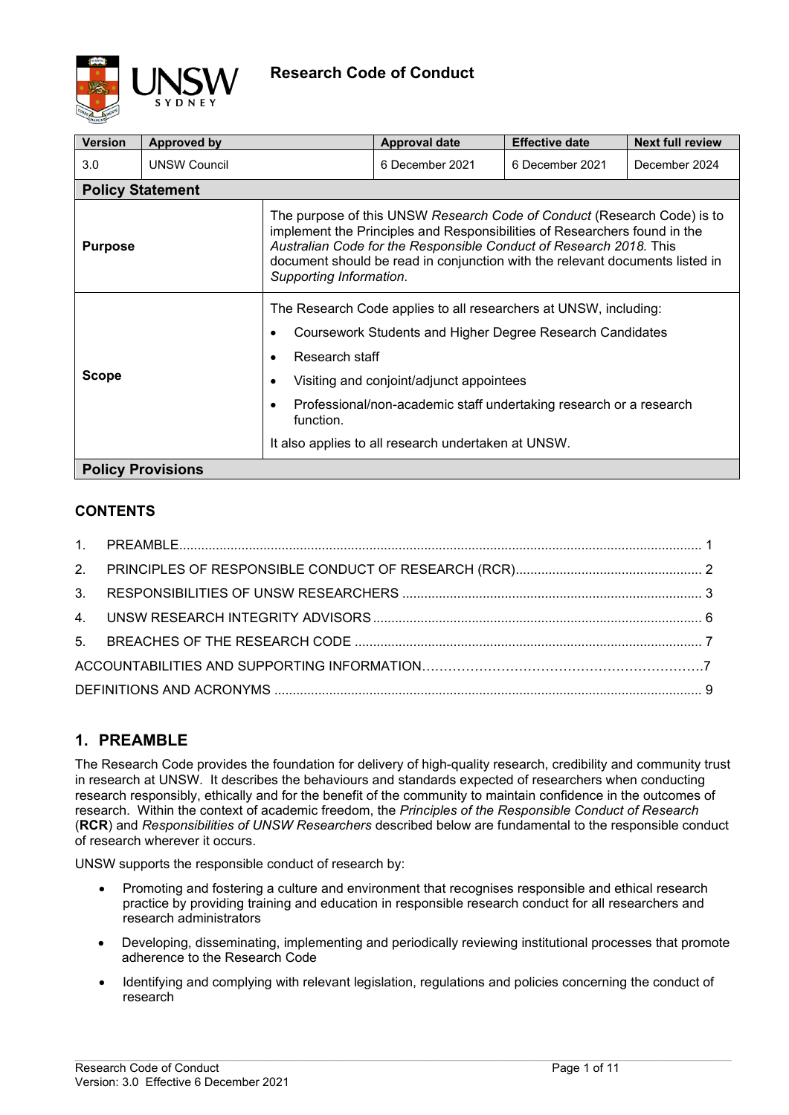

| <b>Version</b>           | <b>Approved by</b>  |                                                                                                                                                                                                                                                                                                                                       | <b>Approval date</b> | <b>Effective date</b> | <b>Next full review</b> |  |
|--------------------------|---------------------|---------------------------------------------------------------------------------------------------------------------------------------------------------------------------------------------------------------------------------------------------------------------------------------------------------------------------------------|----------------------|-----------------------|-------------------------|--|
| 3.0                      | <b>UNSW Council</b> |                                                                                                                                                                                                                                                                                                                                       | 6 December 2021      | 6 December 2021       | December 2024           |  |
| <b>Policy Statement</b>  |                     |                                                                                                                                                                                                                                                                                                                                       |                      |                       |                         |  |
| <b>Purpose</b>           |                     | The purpose of this UNSW Research Code of Conduct (Research Code) is to<br>implement the Principles and Responsibilities of Researchers found in the<br>Australian Code for the Responsible Conduct of Research 2018. This<br>document should be read in conjunction with the relevant documents listed in<br>Supporting Information. |                      |                       |                         |  |
| <b>Scope</b>             |                     | The Research Code applies to all researchers at UNSW, including:                                                                                                                                                                                                                                                                      |                      |                       |                         |  |
|                          |                     | Coursework Students and Higher Degree Research Candidates<br>$\bullet$                                                                                                                                                                                                                                                                |                      |                       |                         |  |
|                          |                     | Research staff<br>$\bullet$                                                                                                                                                                                                                                                                                                           |                      |                       |                         |  |
|                          |                     | Visiting and conjoint/adjunct appointees<br>$\bullet$                                                                                                                                                                                                                                                                                 |                      |                       |                         |  |
|                          |                     | Professional/non-academic staff undertaking research or a research<br>$\bullet$<br>function.                                                                                                                                                                                                                                          |                      |                       |                         |  |
|                          |                     | It also applies to all research undertaken at UNSW.                                                                                                                                                                                                                                                                                   |                      |                       |                         |  |
| <b>Policy Provisions</b> |                     |                                                                                                                                                                                                                                                                                                                                       |                      |                       |                         |  |

## **CONTENTS**

# <span id="page-0-0"></span>**1. PREAMBLE**

The Research Code provides the foundation for delivery of high-quality research, credibility and community trust in research at UNSW. It describes the behaviours and standards expected of researchers when conducting research responsibly, ethically and for the benefit of the community to maintain confidence in the outcomes of research. Within the context of academic freedom, the *Principles of the Responsible Conduct of Research*  (**RCR**) and *Responsibilities of UNSW Researchers* described below are fundamental to the responsible conduct of research wherever it occurs.

UNSW supports the responsible conduct of research by:

- Promoting and fostering a culture and environment that recognises responsible and ethical research practice by providing training and education in responsible research conduct for all researchers and research administrators
- Developing, disseminating, implementing and periodically reviewing institutional processes that promote adherence to the Research Code
- Identifying and complying with relevant legislation, regulations and policies concerning the conduct of research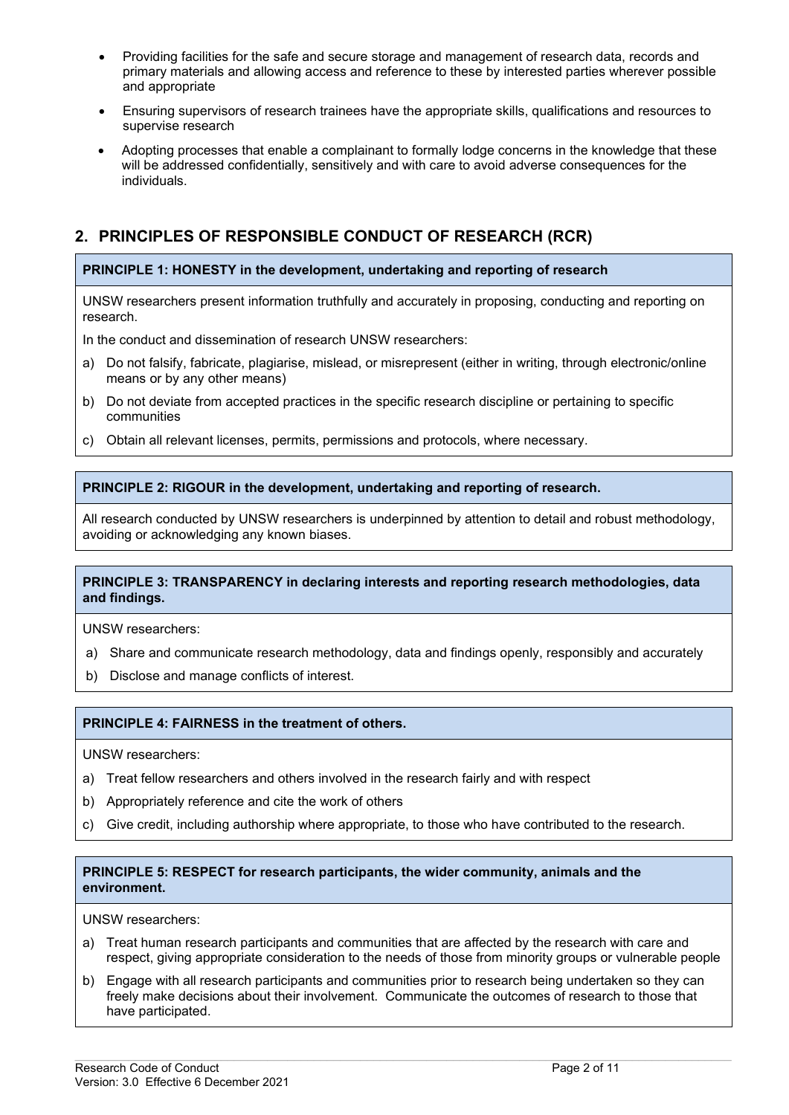- Providing facilities for the safe and secure storage and management of research data, records and primary materials and allowing access and reference to these by interested parties wherever possible and appropriate
- Ensuring supervisors of research trainees have the appropriate skills, qualifications and resources to supervise research
- Adopting processes that enable a complainant to formally lodge concerns in the knowledge that these will be addressed confidentially, sensitively and with care to avoid adverse consequences for the individuals.

# <span id="page-1-0"></span>**2. PRINCIPLES OF RESPONSIBLE CONDUCT OF RESEARCH (RCR)**

### **PRINCIPLE 1: HONESTY in the development, undertaking and reporting of research**

UNSW researchers present information truthfully and accurately in proposing, conducting and reporting on research.

In the conduct and dissemination of research UNSW researchers:

- a) Do not falsify, fabricate, plagiarise, mislead, or misrepresent (either in writing, through electronic/online means or by any other means)
- b) Do not deviate from accepted practices in the specific research discipline or pertaining to specific communities
- c) Obtain all relevant licenses, permits, permissions and protocols, where necessary.

### **PRINCIPLE 2: RIGOUR in the development, undertaking and reporting of research.**

All research conducted by UNSW researchers is underpinned by attention to detail and robust methodology, avoiding or acknowledging any known biases.

#### **PRINCIPLE 3: TRANSPARENCY in declaring interests and reporting research methodologies, data and findings.**

UNSW researchers:

- a) Share and communicate research methodology, data and findings openly, responsibly and accurately
- b) Disclose and manage conflicts of interest.

#### **PRINCIPLE 4: FAIRNESS in the treatment of others.**

UNSW researchers:

- a) Treat fellow researchers and others involved in the research fairly and with respect
- b) Appropriately reference and cite the work of others
- c) Give credit, including authorship where appropriate, to those who have contributed to the research.

#### **PRINCIPLE 5: RESPECT for research participants, the wider community, animals and the environment.**

UNSW researchers:

- a) Treat human research participants and communities that are affected by the research with care and respect, giving appropriate consideration to the needs of those from minority groups or vulnerable people
- b) Engage with all research participants and communities prior to research being undertaken so they can freely make decisions about their involvement. Communicate the outcomes of research to those that have participated.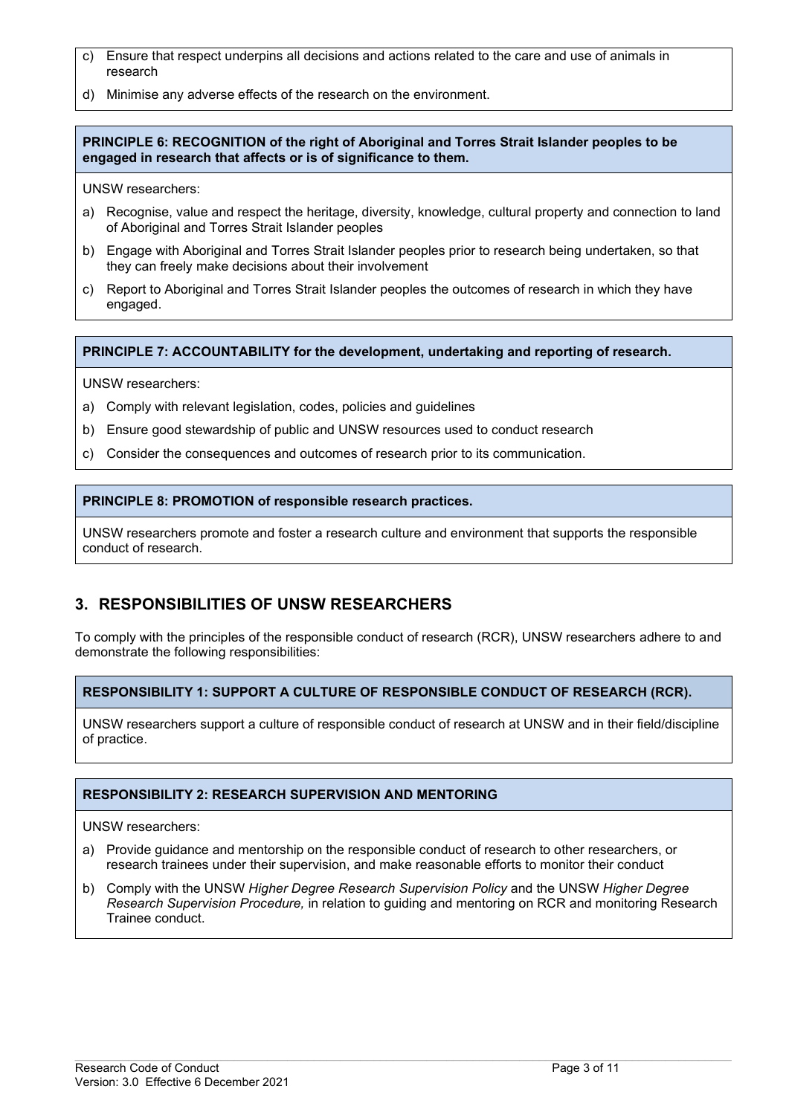- c) Ensure that respect underpins all decisions and actions related to the care and use of animals in research
- d) Minimise any adverse effects of the research on the environment.

#### **PRINCIPLE 6: RECOGNITION of the right of Aboriginal and Torres Strait Islander peoples to be engaged in research that affects or is of significance to them.**

UNSW researchers:

- a) Recognise, value and respect the heritage, diversity, knowledge, cultural property and connection to land of Aboriginal and Torres Strait Islander peoples
- b) Engage with Aboriginal and Torres Strait Islander peoples prior to research being undertaken, so that they can freely make decisions about their involvement
- c) Report to Aboriginal and Torres Strait Islander peoples the outcomes of research in which they have engaged.

**PRINCIPLE 7: ACCOUNTABILITY for the development, undertaking and reporting of research.**

UNSW researchers:

- a) Comply with relevant legislation, codes, policies and guidelines
- b) Ensure good stewardship of public and UNSW resources used to conduct research
- c) Consider the consequences and outcomes of research prior to its communication.

#### **PRINCIPLE 8: PROMOTION of responsible research practices.**

UNSW researchers promote and foster a research culture and environment that supports the responsible conduct of research.

## <span id="page-2-0"></span>**3. RESPONSIBILITIES OF UNSW RESEARCHERS**

To comply with the principles of the responsible conduct of research (RCR), UNSW researchers adhere to and demonstrate the following responsibilities:

### **RESPONSIBILITY 1: SUPPORT A CULTURE OF RESPONSIBLE CONDUCT OF RESEARCH (RCR).**

UNSW researchers support a culture of responsible conduct of research at UNSW and in their field/discipline of practice.

#### **RESPONSIBILITY 2: RESEARCH SUPERVISION AND MENTORING**

UNSW researchers:

- a) Provide guidance and mentorship on the responsible conduct of research to other researchers, or research trainees under their supervision, and make reasonable efforts to monitor their conduct
- b) Comply with the UNSW *Higher Degree Research Supervision Policy* and the UNSW *Higher Degree Research Supervision Procedure,* in relation to guiding and mentoring on RCR and monitoring Research Trainee conduct.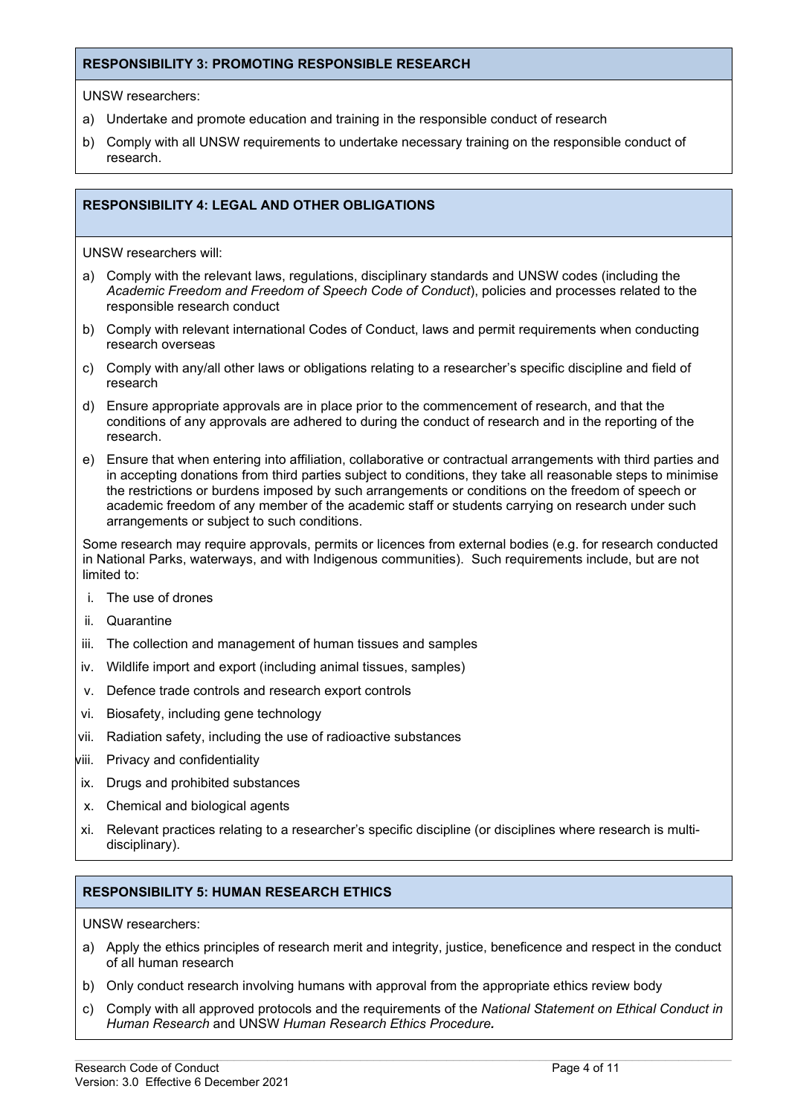#### **RESPONSIBILITY 3: PROMOTING RESPONSIBLE RESEARCH**

UNSW researchers:

- a) Undertake and promote education and training in the responsible conduct of research
- b) Comply with all UNSW requirements to undertake necessary training on the responsible conduct of research.

#### **RESPONSIBILITY 4: LEGAL AND OTHER OBLIGATIONS**

UNSW researchers will:

- a) Comply with the relevant laws, regulations, disciplinary standards and UNSW codes (including the *Academic Freedom and Freedom of Speech Code of Conduct*), policies and processes related to the responsible research conduct
- b) Comply with relevant international Codes of Conduct, laws and permit requirements when conducting research overseas
- c) Comply with any/all other laws or obligations relating to a researcher's specific discipline and field of research
- d) Ensure appropriate approvals are in place prior to the commencement of research, and that the conditions of any approvals are adhered to during the conduct of research and in the reporting of the research.
- e) Ensure that when entering into affiliation, collaborative or contractual arrangements with third parties and in accepting donations from third parties subject to conditions, they take all reasonable steps to minimise the restrictions or burdens imposed by such arrangements or conditions on the freedom of speech or academic freedom of any member of the academic staff or students carrying on research under such arrangements or subject to such conditions.

Some research may require approvals, permits or licences from external bodies (e.g. for research conducted in National Parks, waterways, and with Indigenous communities). Such requirements include, but are not limited to:

- i. The use of drones
- ii. Quarantine
- iii. The collection and management of human tissues and samples
- iv. Wildlife import and export (including animal tissues, samples)
- v. Defence trade controls and research export controls
- vi. Biosafety, including gene technology
- vii. Radiation safety, including the use of radioactive substances
- viii. Privacy and confidentiality
- ix. Drugs and prohibited substances
- x. Chemical and biological agents
- xi. Relevant practices relating to a researcher's specific discipline (or disciplines where research is multidisciplinary).

#### **RESPONSIBILITY 5: HUMAN RESEARCH ETHICS**

UNSW researchers:

- a) Apply the ethics principles of research merit and integrity, justice, beneficence and respect in the conduct of all human research
- b) Only conduct research involving humans with approval from the appropriate ethics review body
- c) Comply with all approved protocols and the requirements of the *National Statement on Ethical Conduct in Human Research* and UNSW *Human Research Ethics Procedure.*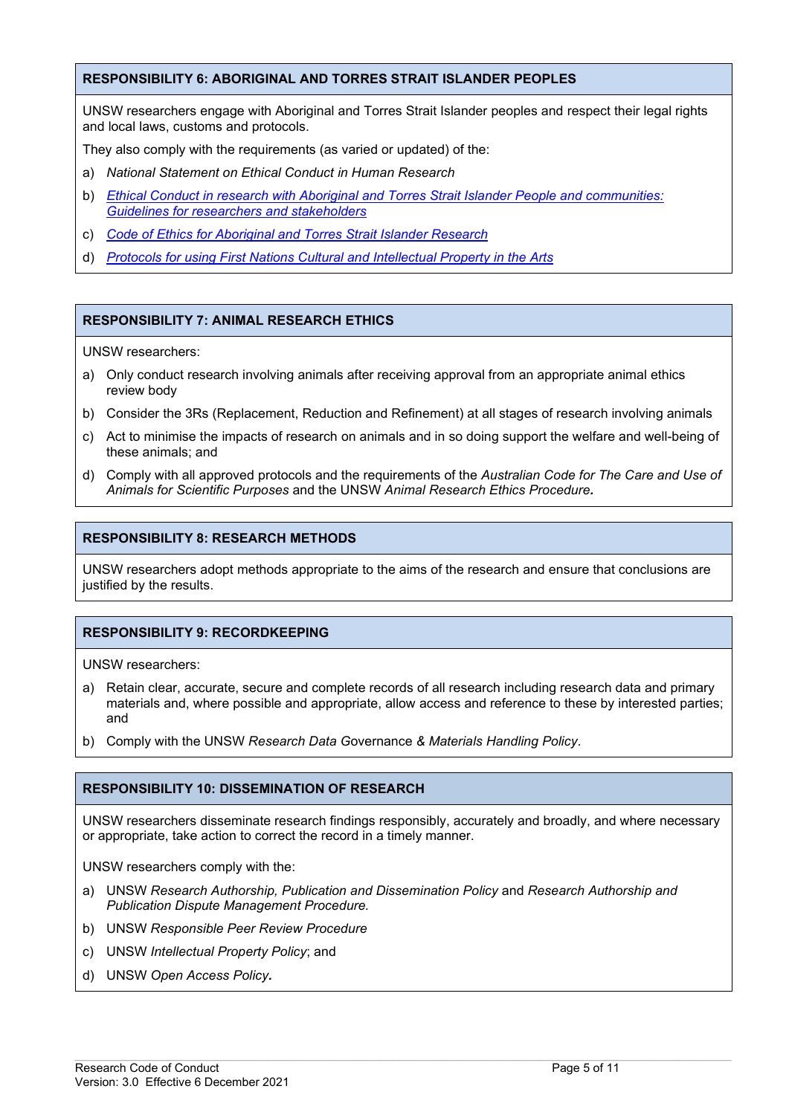#### **RESPONSIBILITY 6: ABORIGINAL AND TORRES STRAIT ISLANDER PEOPLES**

UNSW researchers engage with Aboriginal and Torres Strait Islander peoples and respect their legal rights and local laws, customs and protocols.

They also comply with the requirements (as varied or updated) of the:

- a) *National Statement on Ethical Conduct in Human Research*
- b) *Ethical Conduct in research with Aboriginal and Torres Strait Islander People and communities: Guidelines for researchers and stakeholders*
- c) *Code of Ethics for Aboriginal and Torres Strait Islander Research*
- d) *[Protocols for using First Nations Cultural and Intellectual Property in the Arts](https://apo.org.au/sites/default/files/resource-files/2020-09/apo-nid308574.pdf)*

### **RESPONSIBILITY 7: ANIMAL RESEARCH ETHICS**

UNSW researchers:

- a) Only conduct research involving animals after receiving approval from an appropriate animal ethics review body
- b) Consider the 3Rs (Replacement, Reduction and Refinement) at all stages of research involving animals
- c) Act to minimise the impacts of research on animals and in so doing support the welfare and well-being of these animals; and
- d) Comply with all approved protocols and the requirements of the *Australian Code for The Care and Use of Animals for Scientific Purposes* and the UNSW *Animal Research Ethics Procedure.*

#### **RESPONSIBILITY 8: RESEARCH METHODS**

UNSW researchers adopt methods appropriate to the aims of the research and ensure that conclusions are justified by the results.

#### **RESPONSIBILITY 9: RECORDKEEPING**

UNSW researchers:

- a) Retain clear, accurate, secure and complete records of all research including research data and primary materials and, where possible and appropriate, allow access and reference to these by interested parties; and
- b) Comply with the UNSW *Research Data G*overnance *& Materials Handling Policy*.

#### **RESPONSIBILITY 10: DISSEMINATION OF RESEARCH**

UNSW researchers disseminate research findings responsibly, accurately and broadly, and where necessary or appropriate, take action to correct the record in a timely manner.

 $\_$  , and the state of the state of the state of the state of the state of the state of the state of the state of the state of the state of the state of the state of the state of the state of the state of the state of the

UNSW researchers comply with the:

- a) UNSW *Research Authorship, Publication and Dissemination Policy* and *Research Authorship and Publication Dispute Management Procedure.*
- b) UNSW *Responsible Peer Review Procedure*
- c) UNSW *Intellectual Property Policy*; and
- d) UNSW *Open Access Policy.*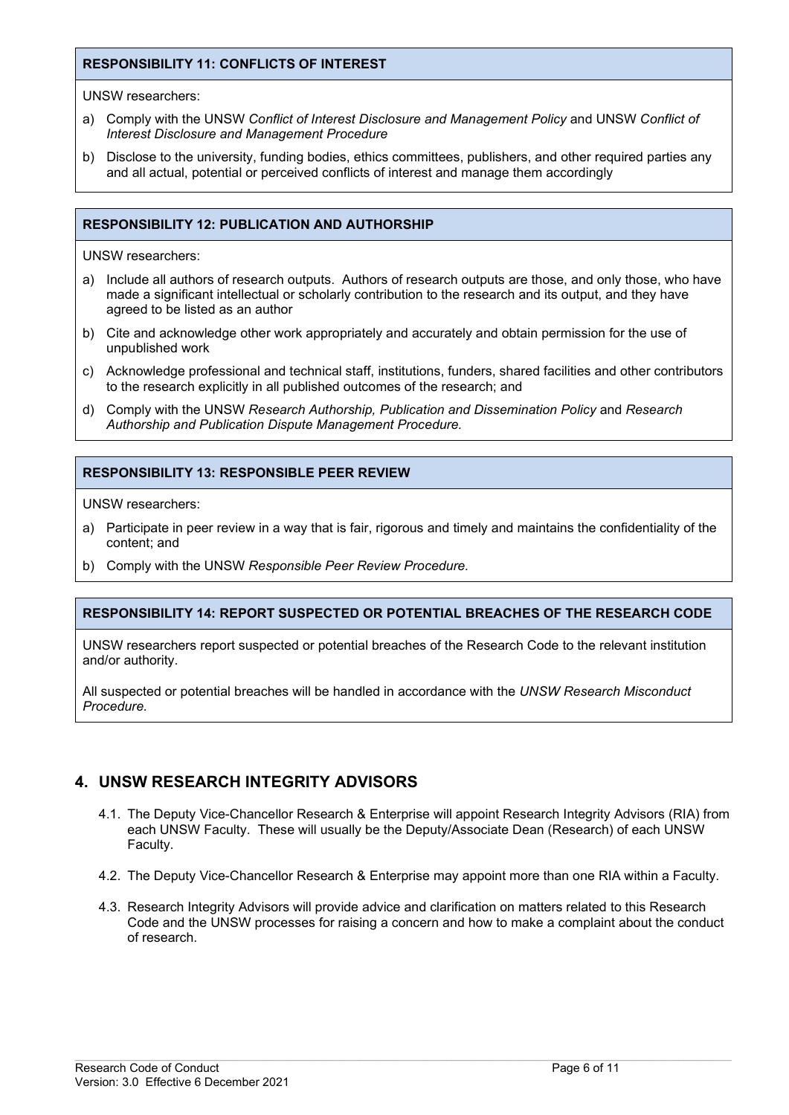### **RESPONSIBILITY 11: CONFLICTS OF INTEREST**

UNSW researchers:

- a) Comply with the UNSW *Conflict of Interest Disclosure and Management Policy* and UNSW *Conflict of Interest Disclosure and Management Procedure*
- b) Disclose to the university, funding bodies, ethics committees, publishers, and other required parties any and all actual, potential or perceived conflicts of interest and manage them accordingly

### **RESPONSIBILITY 12: PUBLICATION AND AUTHORSHIP**

UNSW researchers:

- a) Include all authors of research outputs. Authors of research outputs are those, and only those, who have made a significant intellectual or scholarly contribution to the research and its output, and they have agreed to be listed as an author
- b) Cite and acknowledge other work appropriately and accurately and obtain permission for the use of unpublished work
- c) Acknowledge professional and technical staff, institutions, funders, shared facilities and other contributors to the research explicitly in all published outcomes of the research; and
- d) Comply with the UNSW *Research Authorship, Publication and Dissemination Policy* and *Research Authorship and Publication Dispute Management Procedure.*

#### **RESPONSIBILITY 13: RESPONSIBLE PEER REVIEW**

UNSW researchers:

- a) Participate in peer review in a way that is fair, rigorous and timely and maintains the confidentiality of the content; and
- b) Comply with the UNSW *Responsible Peer Review Procedure.*

#### **RESPONSIBILITY 14: REPORT SUSPECTED OR POTENTIAL BREACHES OF THE RESEARCH CODE**

UNSW researchers report suspected or potential breaches of the Research Code to the relevant institution and/or authority.

<span id="page-5-0"></span>All suspected or potential breaches will be handled in accordance with the *UNSW Research Misconduct Procedure.*

## **4. UNSW RESEARCH INTEGRITY ADVISORS**

- 4.1. The Deputy Vice-Chancellor Research & Enterprise will appoint Research Integrity Advisors (RIA) from each UNSW Faculty. These will usually be the Deputy/Associate Dean (Research) of each UNSW Faculty.
- 4.2. The Deputy Vice-Chancellor Research & Enterprise may appoint more than one RIA within a Faculty.
- 4.3. Research Integrity Advisors will provide advice and clarification on matters related to this Research Code and the UNSW processes for raising a concern and how to make a complaint about the conduct of research.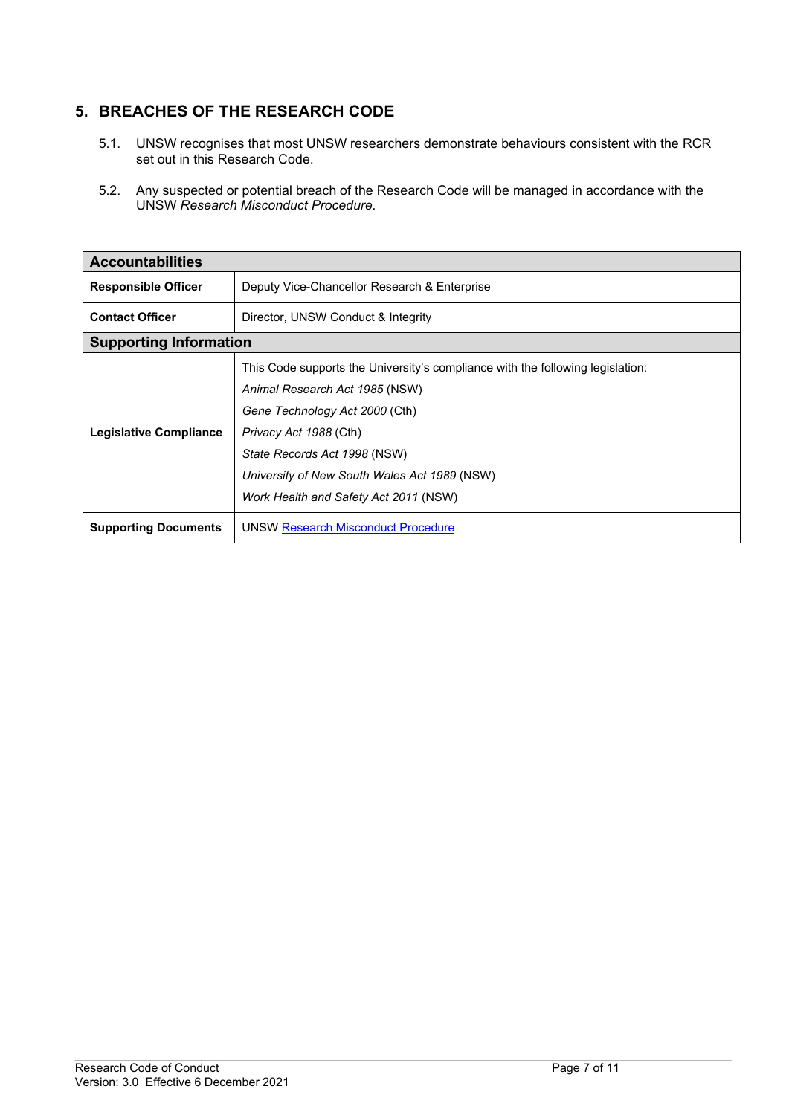# <span id="page-6-0"></span>**5. BREACHES OF THE RESEARCH CODE**

- 5.1. UNSW recognises that most UNSW researchers demonstrate behaviours consistent with the RCR set out in this Research Code.
- 5.2. Any suspected or potential breach of the Research Code will be managed in accordance with the UNSW *Research Misconduct Procedure.*

| <b>Accountabilities</b>                                                    |                                                                                                                                                                                                                                                                                                       |  |  |
|----------------------------------------------------------------------------|-------------------------------------------------------------------------------------------------------------------------------------------------------------------------------------------------------------------------------------------------------------------------------------------------------|--|--|
| <b>Responsible Officer</b><br>Deputy Vice-Chancellor Research & Enterprise |                                                                                                                                                                                                                                                                                                       |  |  |
| <b>Contact Officer</b>                                                     | Director, UNSW Conduct & Integrity                                                                                                                                                                                                                                                                    |  |  |
| <b>Supporting Information</b>                                              |                                                                                                                                                                                                                                                                                                       |  |  |
| <b>Legislative Compliance</b>                                              | This Code supports the University's compliance with the following legislation:<br>Animal Research Act 1985 (NSW)<br>Gene Technology Act 2000 (Cth)<br>Privacy Act 1988 (Cth)<br>State Records Act 1998 (NSW)<br>University of New South Wales Act 1989 (NSW)<br>Work Health and Safety Act 2011 (NSW) |  |  |
| <b>Supporting Documents</b>                                                | <b>UNSW Research Misconduct Procedure</b>                                                                                                                                                                                                                                                             |  |  |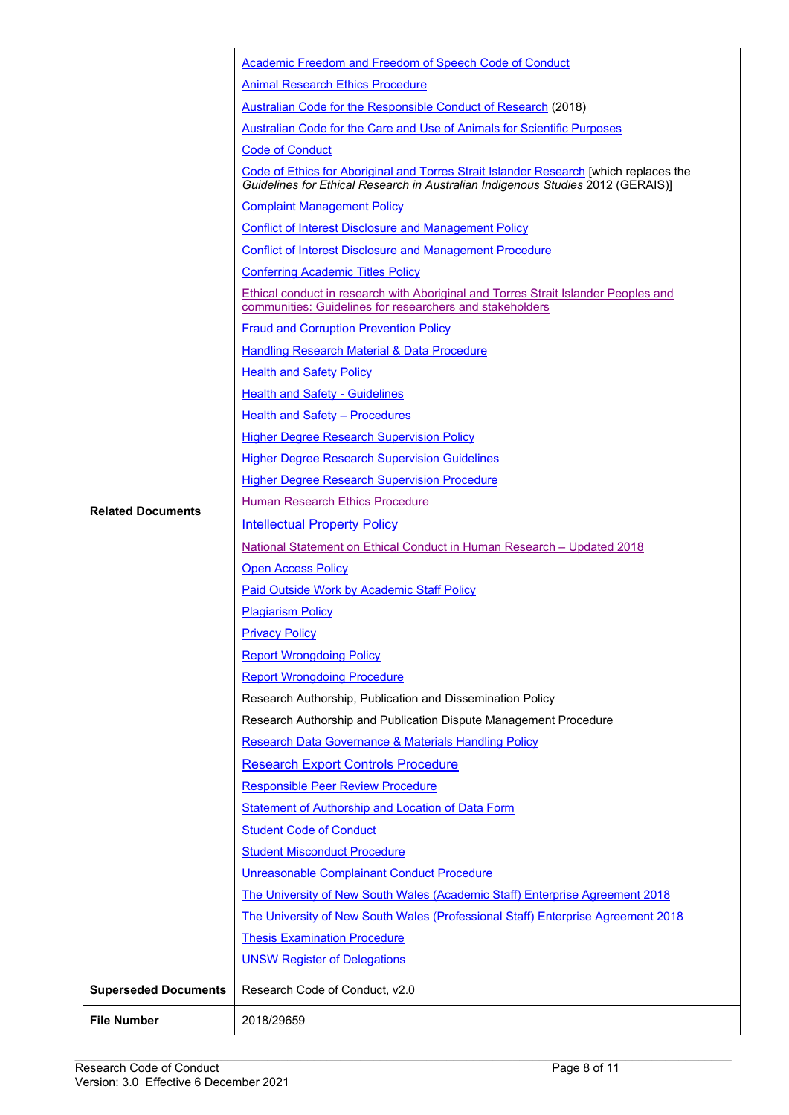|                             | Academic Freedom and Freedom of Speech Code of Conduct                                                                                                                          |  |  |  |
|-----------------------------|---------------------------------------------------------------------------------------------------------------------------------------------------------------------------------|--|--|--|
|                             | <b>Animal Research Ethics Procedure</b>                                                                                                                                         |  |  |  |
|                             | <b>Australian Code for the Responsible Conduct of Research (2018)</b>                                                                                                           |  |  |  |
|                             | Australian Code for the Care and Use of Animals for Scientific Purposes                                                                                                         |  |  |  |
|                             | <b>Code of Conduct</b>                                                                                                                                                          |  |  |  |
|                             | <b>Code of Ethics for Aboriginal and Torres Strait Islander Research [which replaces the</b><br>Guidelines for Ethical Research in Australian Indigenous Studies 2012 (GERAIS)] |  |  |  |
|                             | <b>Complaint Management Policy</b>                                                                                                                                              |  |  |  |
|                             | <b>Conflict of Interest Disclosure and Management Policy</b>                                                                                                                    |  |  |  |
|                             | <b>Conflict of Interest Disclosure and Management Procedure</b>                                                                                                                 |  |  |  |
|                             | <b>Conferring Academic Titles Policy</b>                                                                                                                                        |  |  |  |
|                             | <b>Ethical conduct in research with Aboriginal and Torres Strait Islander Peoples and</b><br>communities: Guidelines for researchers and stakeholders                           |  |  |  |
|                             | <b>Fraud and Corruption Prevention Policy</b>                                                                                                                                   |  |  |  |
|                             | Handling Research Material & Data Procedure                                                                                                                                     |  |  |  |
|                             | <b>Health and Safety Policy</b>                                                                                                                                                 |  |  |  |
|                             | <b>Health and Safety - Guidelines</b>                                                                                                                                           |  |  |  |
|                             | Health and Safety - Procedures                                                                                                                                                  |  |  |  |
|                             | <b>Higher Degree Research Supervision Policy</b>                                                                                                                                |  |  |  |
|                             | <b>Higher Degree Research Supervision Guidelines</b>                                                                                                                            |  |  |  |
|                             | <b>Higher Degree Research Supervision Procedure</b>                                                                                                                             |  |  |  |
| <b>Related Documents</b>    | Human Research Ethics Procedure                                                                                                                                                 |  |  |  |
|                             | <b>Intellectual Property Policy</b>                                                                                                                                             |  |  |  |
|                             | <u>National Statement on Ethical Conduct in Human Research – Updated 2018</u>                                                                                                   |  |  |  |
|                             | <b>Open Access Policy</b>                                                                                                                                                       |  |  |  |
|                             | Paid Outside Work by Academic Staff Policy                                                                                                                                      |  |  |  |
|                             | <b>Plagiarism Policy</b>                                                                                                                                                        |  |  |  |
|                             | <b>Privacy Policy</b>                                                                                                                                                           |  |  |  |
|                             | <b>Report Wrongdoing Policy</b>                                                                                                                                                 |  |  |  |
|                             | <b>Report Wrongdoing Procedure</b>                                                                                                                                              |  |  |  |
|                             | Research Authorship, Publication and Dissemination Policy                                                                                                                       |  |  |  |
|                             | Research Authorship and Publication Dispute Management Procedure                                                                                                                |  |  |  |
|                             | Research Data Governance & Materials Handling Policy                                                                                                                            |  |  |  |
|                             | <b>Research Export Controls Procedure</b>                                                                                                                                       |  |  |  |
|                             | <b>Responsible Peer Review Procedure</b>                                                                                                                                        |  |  |  |
|                             | <b>Statement of Authorship and Location of Data Form</b>                                                                                                                        |  |  |  |
|                             | <b>Student Code of Conduct</b>                                                                                                                                                  |  |  |  |
|                             | <b>Student Misconduct Procedure</b>                                                                                                                                             |  |  |  |
|                             | Unreasonable Complainant Conduct Procedure                                                                                                                                      |  |  |  |
|                             | The University of New South Wales (Academic Staff) Enterprise Agreement 2018                                                                                                    |  |  |  |
|                             | The University of New South Wales (Professional Staff) Enterprise Agreement 2018                                                                                                |  |  |  |
|                             | <b>Thesis Examination Procedure</b>                                                                                                                                             |  |  |  |
|                             | <b>UNSW Register of Delegations</b>                                                                                                                                             |  |  |  |
| <b>Superseded Documents</b> | Research Code of Conduct, v2.0                                                                                                                                                  |  |  |  |
| <b>File Number</b>          | 2018/29659                                                                                                                                                                      |  |  |  |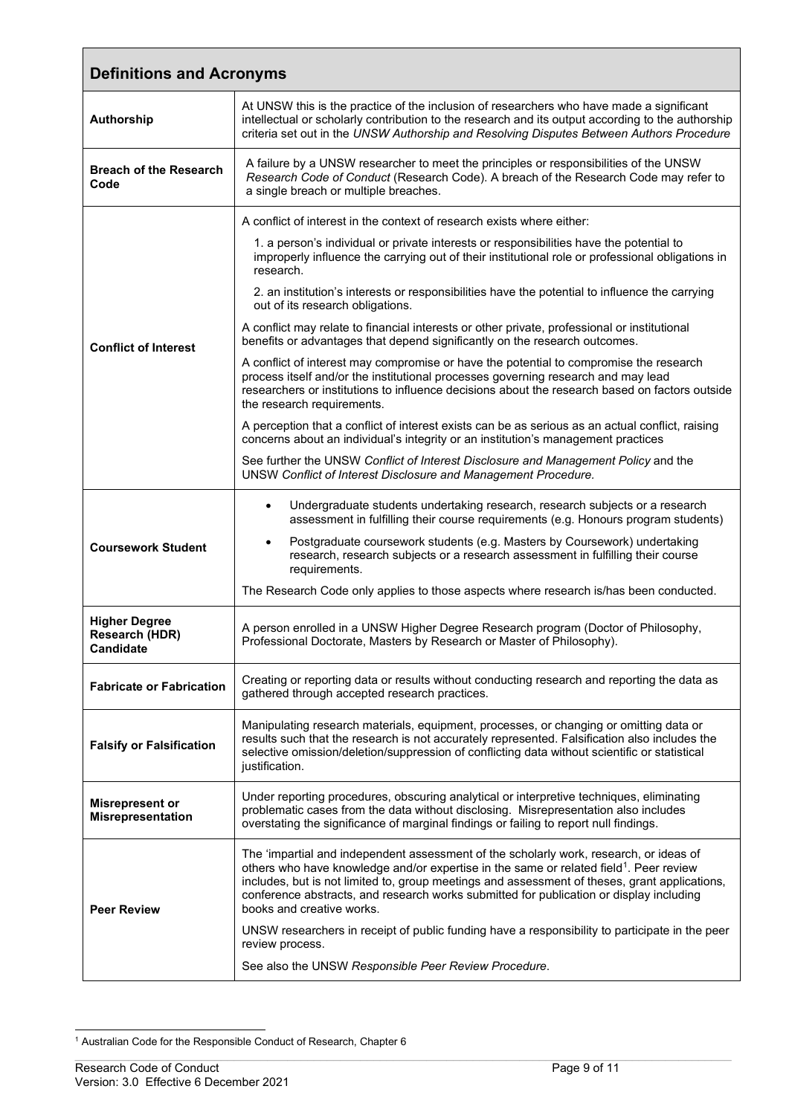<span id="page-8-0"></span>

| <b>Definitions and Acronyms</b>                            |                                                                                                                                                                                                                                                                                                                                                                                                                       |  |  |  |
|------------------------------------------------------------|-----------------------------------------------------------------------------------------------------------------------------------------------------------------------------------------------------------------------------------------------------------------------------------------------------------------------------------------------------------------------------------------------------------------------|--|--|--|
| Authorship                                                 | At UNSW this is the practice of the inclusion of researchers who have made a significant<br>intellectual or scholarly contribution to the research and its output according to the authorship<br>criteria set out in the UNSW Authorship and Resolving Disputes Between Authors Procedure                                                                                                                             |  |  |  |
| <b>Breach of the Research</b><br>Code                      | A failure by a UNSW researcher to meet the principles or responsibilities of the UNSW<br>Research Code of Conduct (Research Code). A breach of the Research Code may refer to<br>a single breach or multiple breaches.                                                                                                                                                                                                |  |  |  |
|                                                            | A conflict of interest in the context of research exists where either:                                                                                                                                                                                                                                                                                                                                                |  |  |  |
|                                                            | 1. a person's individual or private interests or responsibilities have the potential to<br>improperly influence the carrying out of their institutional role or professional obligations in<br>research.                                                                                                                                                                                                              |  |  |  |
|                                                            | 2. an institution's interests or responsibilities have the potential to influence the carrying<br>out of its research obligations.                                                                                                                                                                                                                                                                                    |  |  |  |
| <b>Conflict of Interest</b>                                | A conflict may relate to financial interests or other private, professional or institutional<br>benefits or advantages that depend significantly on the research outcomes.                                                                                                                                                                                                                                            |  |  |  |
|                                                            | A conflict of interest may compromise or have the potential to compromise the research<br>process itself and/or the institutional processes governing research and may lead<br>researchers or institutions to influence decisions about the research based on factors outside<br>the research requirements.                                                                                                           |  |  |  |
|                                                            | A perception that a conflict of interest exists can be as serious as an actual conflict, raising<br>concerns about an individual's integrity or an institution's management practices                                                                                                                                                                                                                                 |  |  |  |
|                                                            | See further the UNSW Conflict of Interest Disclosure and Management Policy and the<br>UNSW Conflict of Interest Disclosure and Management Procedure.                                                                                                                                                                                                                                                                  |  |  |  |
|                                                            | Undergraduate students undertaking research, research subjects or a research<br>$\bullet$<br>assessment in fulfilling their course requirements (e.g. Honours program students)                                                                                                                                                                                                                                       |  |  |  |
| <b>Coursework Student</b>                                  | Postgraduate coursework students (e.g. Masters by Coursework) undertaking<br>$\bullet$<br>research, research subjects or a research assessment in fulfilling their course<br>requirements.                                                                                                                                                                                                                            |  |  |  |
|                                                            | The Research Code only applies to those aspects where research is/has been conducted.                                                                                                                                                                                                                                                                                                                                 |  |  |  |
| <b>Higher Degree</b><br>Research (HDR)<br><b>Candidate</b> | A person enrolled in a UNSW Higher Degree Research program (Doctor of Philosophy,<br>Professional Doctorate, Masters by Research or Master of Philosophy).                                                                                                                                                                                                                                                            |  |  |  |
| <b>Fabricate or Fabrication</b>                            | Creating or reporting data or results without conducting research and reporting the data as<br>gathered through accepted research practices.                                                                                                                                                                                                                                                                          |  |  |  |
| <b>Falsify or Falsification</b>                            | Manipulating research materials, equipment, processes, or changing or omitting data or<br>results such that the research is not accurately represented. Falsification also includes the<br>selective omission/deletion/suppression of conflicting data without scientific or statistical<br>justification.                                                                                                            |  |  |  |
| <b>Misrepresent or</b><br><b>Misrepresentation</b>         | Under reporting procedures, obscuring analytical or interpretive techniques, eliminating<br>problematic cases from the data without disclosing. Misrepresentation also includes<br>overstating the significance of marginal findings or failing to report null findings.                                                                                                                                              |  |  |  |
| <b>Peer Review</b>                                         | The 'impartial and independent assessment of the scholarly work, research, or ideas of<br>others who have knowledge and/or expertise in the same or related field <sup>1</sup> . Peer review<br>includes, but is not limited to, group meetings and assessment of theses, grant applications,<br>conference abstracts, and research works submitted for publication or display including<br>books and creative works. |  |  |  |
|                                                            | UNSW researchers in receipt of public funding have a responsibility to participate in the peer<br>review process.                                                                                                                                                                                                                                                                                                     |  |  |  |
|                                                            | See also the UNSW Responsible Peer Review Procedure.                                                                                                                                                                                                                                                                                                                                                                  |  |  |  |

<span id="page-8-1"></span><sup>1</sup> Australian Code for the Responsible Conduct of Research, Chapter 6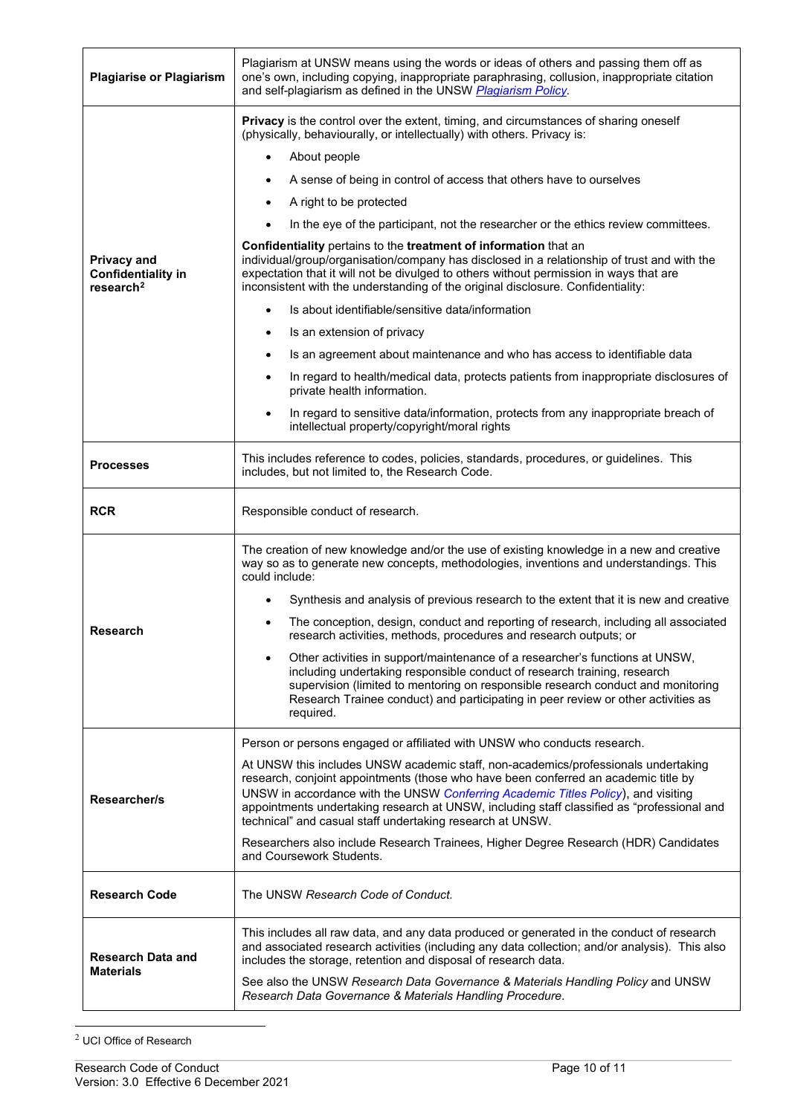| <b>Plagiarise or Plagiarism</b>                                          | Plagiarism at UNSW means using the words or ideas of others and passing them off as<br>one's own, including copying, inappropriate paraphrasing, collusion, inappropriate citation<br>and self-plagiarism as defined in the UNSW Plagiarism Policy.                                                                                                                                                                                                                                                                                                                                                                                                                                                                                                                                                                                                                                                                                                                                                                                                                                                                                                                                                                        |  |  |  |
|--------------------------------------------------------------------------|----------------------------------------------------------------------------------------------------------------------------------------------------------------------------------------------------------------------------------------------------------------------------------------------------------------------------------------------------------------------------------------------------------------------------------------------------------------------------------------------------------------------------------------------------------------------------------------------------------------------------------------------------------------------------------------------------------------------------------------------------------------------------------------------------------------------------------------------------------------------------------------------------------------------------------------------------------------------------------------------------------------------------------------------------------------------------------------------------------------------------------------------------------------------------------------------------------------------------|--|--|--|
| <b>Privacy and</b><br><b>Confidentiality in</b><br>research <sup>2</sup> | <b>Privacy</b> is the control over the extent, timing, and circumstances of sharing oneself<br>(physically, behaviourally, or intellectually) with others. Privacy is:<br>About people<br>A sense of being in control of access that others have to ourselves<br>$\bullet$<br>A right to be protected<br>In the eye of the participant, not the researcher or the ethics review committees.<br>Confidentiality pertains to the treatment of information that an<br>individual/group/organisation/company has disclosed in a relationship of trust and with the<br>expectation that it will not be divulged to others without permission in ways that are<br>inconsistent with the understanding of the original disclosure. Confidentiality:<br>Is about identifiable/sensitive data/information<br>$\bullet$<br>Is an extension of privacy<br>٠<br>Is an agreement about maintenance and who has access to identifiable data<br>$\bullet$<br>In regard to health/medical data, protects patients from inappropriate disclosures of<br>٠<br>private health information.<br>In regard to sensitive data/information, protects from any inappropriate breach of<br>$\bullet$<br>intellectual property/copyright/moral rights |  |  |  |
| <b>Processes</b>                                                         | This includes reference to codes, policies, standards, procedures, or guidelines. This<br>includes, but not limited to, the Research Code.                                                                                                                                                                                                                                                                                                                                                                                                                                                                                                                                                                                                                                                                                                                                                                                                                                                                                                                                                                                                                                                                                 |  |  |  |
| <b>RCR</b>                                                               | Responsible conduct of research.                                                                                                                                                                                                                                                                                                                                                                                                                                                                                                                                                                                                                                                                                                                                                                                                                                                                                                                                                                                                                                                                                                                                                                                           |  |  |  |
| <b>Research</b>                                                          | The creation of new knowledge and/or the use of existing knowledge in a new and creative<br>way so as to generate new concepts, methodologies, inventions and understandings. This<br>could include:<br>Synthesis and analysis of previous research to the extent that it is new and creative<br>The conception, design, conduct and reporting of research, including all associated<br>research activities, methods, procedures and research outputs; or<br>Other activities in support/maintenance of a researcher's functions at UNSW,<br>including undertaking responsible conduct of research training, research<br>supervision (limited to mentoring on responsible research conduct and monitoring<br>Research Trainee conduct) and participating in peer review or other activities as<br>required.                                                                                                                                                                                                                                                                                                                                                                                                                |  |  |  |
| Researcher/s                                                             | Person or persons engaged or affiliated with UNSW who conducts research.<br>At UNSW this includes UNSW academic staff, non-academics/professionals undertaking<br>research, conjoint appointments (those who have been conferred an academic title by<br>UNSW in accordance with the UNSW Conferring Academic Titles Policy), and visiting<br>appointments undertaking research at UNSW, including staff classified as "professional and<br>technical" and casual staff undertaking research at UNSW.<br>Researchers also include Research Trainees, Higher Degree Research (HDR) Candidates<br>and Coursework Students.                                                                                                                                                                                                                                                                                                                                                                                                                                                                                                                                                                                                   |  |  |  |
| <b>Research Code</b>                                                     | The UNSW Research Code of Conduct.                                                                                                                                                                                                                                                                                                                                                                                                                                                                                                                                                                                                                                                                                                                                                                                                                                                                                                                                                                                                                                                                                                                                                                                         |  |  |  |
| <b>Research Data and</b><br><b>Materials</b>                             | This includes all raw data, and any data produced or generated in the conduct of research<br>and associated research activities (including any data collection; and/or analysis). This also<br>includes the storage, retention and disposal of research data.<br>See also the UNSW Research Data Governance & Materials Handling Policy and UNSW<br>Research Data Governance & Materials Handling Procedure.                                                                                                                                                                                                                                                                                                                                                                                                                                                                                                                                                                                                                                                                                                                                                                                                               |  |  |  |

<span id="page-9-0"></span><sup>2</sup> UCI Office of Research